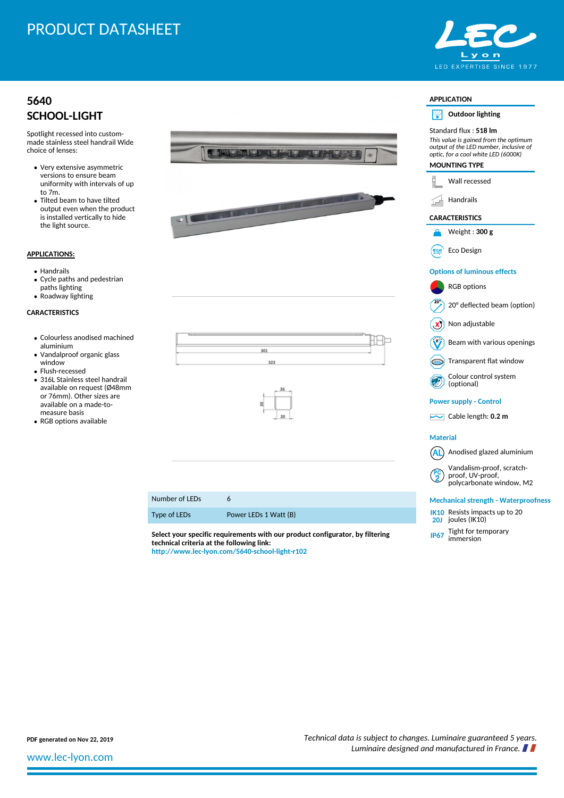# PRODUCT DATASHEET

## **[5640](http://www.lec-lyon.com/5640-school-light-r102) [SCHOOL-LIGHT](http://www.lec-lyon.com/5640-school-light-r102)**

Spotlight recessed into custommade stainless steel handrail Wide choice of lenses:

- Very extensive asymmetric versions to ensure beam uniformity with intervals of up to 7m.
- Tilted beam to have tilted output even when the product is installed vertically to hide the light source.

### **APPLICATIONS:**

- Handrails
- Cycle paths and pedestrian paths lighting
- Roadway lighting

#### **CARACTERISTICS**

- Colourless anodised machined aluminium
- Vandalproof organic glass window
- Flush-recessed
- 316L Stainless steel handrail available on request (Ø48mm or 76mm). Other sizes are available on a made-tomeasure basis
- RGB options available



**PDF generated on Nov 22, 2019** *Technical data is subject to changes. Luminaire guaranteed 5 years. Luminaire designed and manufactured in France.*

[www.lec-lyon.com](http://www.lec-lyon.com/)

**technical criteria at the following link: <http://www.lec-lyon.com/5640-school-light-r102>**